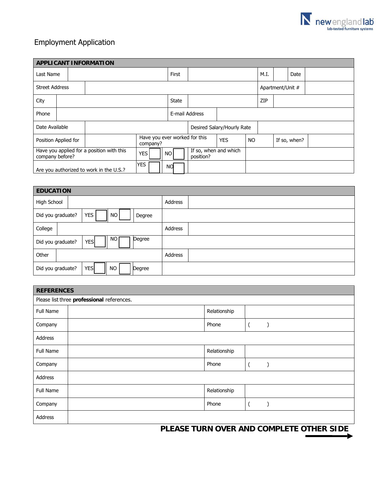

## Employment Application

| <b>APPLICANT INFORMATION</b>                                 |  |  |                                           |                |                                    |                            |                  |      |  |              |  |
|--------------------------------------------------------------|--|--|-------------------------------------------|----------------|------------------------------------|----------------------------|------------------|------|--|--------------|--|
| Last Name                                                    |  |  |                                           |                |                                    |                            |                  | M.I. |  | Date         |  |
| <b>Street Address</b>                                        |  |  |                                           |                |                                    |                            | Apartment/Unit # |      |  |              |  |
| City                                                         |  |  |                                           | <b>State</b>   |                                    |                            |                  | ZIP  |  |              |  |
| Phone                                                        |  |  |                                           | E-mail Address |                                    |                            |                  |      |  |              |  |
| Date Available                                               |  |  |                                           |                |                                    | Desired Salary/Hourly Rate |                  |      |  |              |  |
| Position Applied for                                         |  |  | Have you ever worked for this<br>company? |                |                                    | <b>YES</b>                 | <b>NO</b>        |      |  | If so, when? |  |
| Have you applied for a position with this<br>company before? |  |  | YES                                       | NO I           | If so, when and which<br>position? |                            |                  |      |  |              |  |
| <b>YES</b><br>Are you authorized to work in the U.S.?        |  |  |                                           | NO.            |                                    |                            |                  |      |  |              |  |

| <b>EDUCATION</b>                                 |         |  |  |  |  |  |  |  |
|--------------------------------------------------|---------|--|--|--|--|--|--|--|
| High School                                      | Address |  |  |  |  |  |  |  |
| <b>YES</b><br>NO.<br>Did you graduate?<br>Degree |         |  |  |  |  |  |  |  |
| College                                          | Address |  |  |  |  |  |  |  |
| NO<br>Degree<br><b>YES</b><br>Did you graduate?  |         |  |  |  |  |  |  |  |
| Other                                            | Address |  |  |  |  |  |  |  |
| <b>YES</b><br>Did you graduate?<br>NO.<br>Degree |         |  |  |  |  |  |  |  |

| <b>REFERENCES</b>                          |  |              |  |  |  |  |  |  |
|--------------------------------------------|--|--------------|--|--|--|--|--|--|
| Please list three professional references. |  |              |  |  |  |  |  |  |
| Full Name                                  |  | Relationship |  |  |  |  |  |  |
| Company                                    |  | Phone        |  |  |  |  |  |  |
| Address                                    |  |              |  |  |  |  |  |  |
| Full Name                                  |  | Relationship |  |  |  |  |  |  |
| Company                                    |  | Phone        |  |  |  |  |  |  |
| Address                                    |  |              |  |  |  |  |  |  |
| Full Name                                  |  | Relationship |  |  |  |  |  |  |
| Company                                    |  | Phone        |  |  |  |  |  |  |
| Address                                    |  |              |  |  |  |  |  |  |

**PLEASE TURN OVER AND COMPLETE OTHER SIDE**